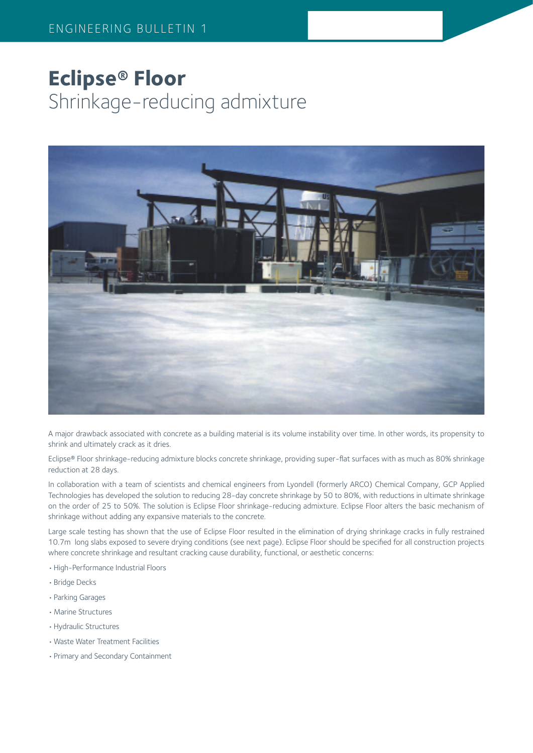# **Eclipse® Floor** Shrinkage-reducing admixture



A major drawback associated with concrete as a building material is its volume instability over time. In other words, its propensity to shrink and ultimately crack as it dries.

Eclipse® Floor shrinkage-reducing admixture blocks concrete shrinkage, providing super-flat surfaces with as much as 80% shrinkage reduction at 28 days.

In collaboration with a team of scientists and chemical engineers from Lyondell (formerly ARCO) Chemical Company, GCP Applied Technologies has developed the solution to reducing 28-day concrete shrinkage by 50 to 80%, with reductions in ultimate shrinkage on the order of 25 to 50%. The solution is Eclipse Floor shrinkage-reducing admixture. Eclipse Floor alters the basic mechanism of shrinkage without adding any expansive materials to the concrete.

Large scale testing has shown that the use of Eclipse Floor resulted in the elimination of drying shrinkage cracks in fully restrained 10.7m long slabs exposed to severe drying conditions (see next page). Eclipse Floor should be specified for all construction projects where concrete shrinkage and resultant cracking cause durability, functional, or aesthetic concerns:

- •High-Performance Industrial Floors
- •Bridge Decks
- •Parking Garages
- •Marine Structures
- •Hydraulic Structures
- •Waste Water Treatment Facilities
- •Primary and Secondary Containment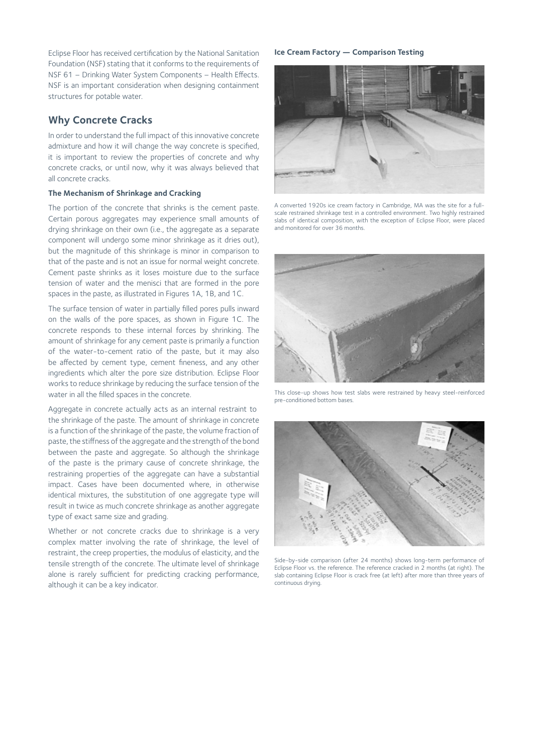Eclipse Floor has received certification by the National Sanitation Foundation (NSF) stating that it conforms to the requirements of NSF 61 – Drinking Water System Components – Health Effects. NSF is an important consideration when designing containment structures for potable water.

# **Why Concrete Cracks**

In order to understand the full impact of this innovative concrete admixture and how it will change the way concrete is specified, it is important to review the properties of concrete and why concrete cracks, or until now, why it was always believed that all concrete cracks.

## **The Mechanism of Shrinkage and Cracking**

The portion of the concrete that shrinks is the cement paste. Certain porous aggregates may experience small amounts of drying shrinkage on their own (i.e., the aggregate as a separate component will undergo some minor shrinkage as it dries out), but the magnitude of this shrinkage is minor in comparison to that of the paste and is not an issue for normal weight concrete. Cement paste shrinks as it loses moisture due to the surface tension of water and the menisci that are formed in the pore spaces in the paste, as illustrated in Figures 1A, 1B, and 1C.

The surface tension of water in partially filled pores pulls inward on the walls of the pore spaces, as shown in Figure 1C. The concrete responds to these internal forces by shrinking. The amount of shrinkage for any cement paste is primarily a function of the water-to-cement ratio of the paste, but it may also be affected by cement type, cement fineness, and any other ingredients which alter the pore size distribution. Eclipse Floor works to reduce shrinkage by reducing the surface tension of the water in all the filled spaces in the concrete.

Aggregate in concrete actually acts as an internal restraint to the shrinkage of the paste. The amount of shrinkage in concrete is a function of the shrinkage of the paste, the volume fraction of paste, the stiffness of the aggregate and the strength of the bond between the paste and aggregate. So although the shrinkage of the paste is the primary cause of concrete shrinkage, the restraining properties of the aggregate can have a substantial impact. Cases have been documented where, in otherwise identical mixtures, the substitution of one aggregate type will result in twice as much concrete shrinkage as another aggregate type of exact same size and grading.

Whether or not concrete cracks due to shrinkage is a very complex matter involving the rate of shrinkage, the level of restraint, the creep properties, the modulus of elasticity, and the tensile strength of the concrete. The ultimate level of shrinkage alone is rarely sufficient for predicting cracking performance, although it can be a key indicator.

#### **Ice Cream Factory — Comparison Testing**



A converted 1920s ice cream factory in Cambridge, MA was the site for a fullscale restrained shrinkage test in a controlled environment. Two highly restrained slabs of identical composition, with the exception of Eclipse Floor, were placed and monitored for over 36 months.



This close-up shows how test slabs were restrained by heavy steel-reinforced pre-conditioned bottom bases.



Side-by-side comparison (after 24 months) shows long-term performance of Eclipse Floor vs. the reference. The reference cracked in 2 months (at right). The slab containing Eclipse Floor is crack free (at left) after more than three years of continuous drying.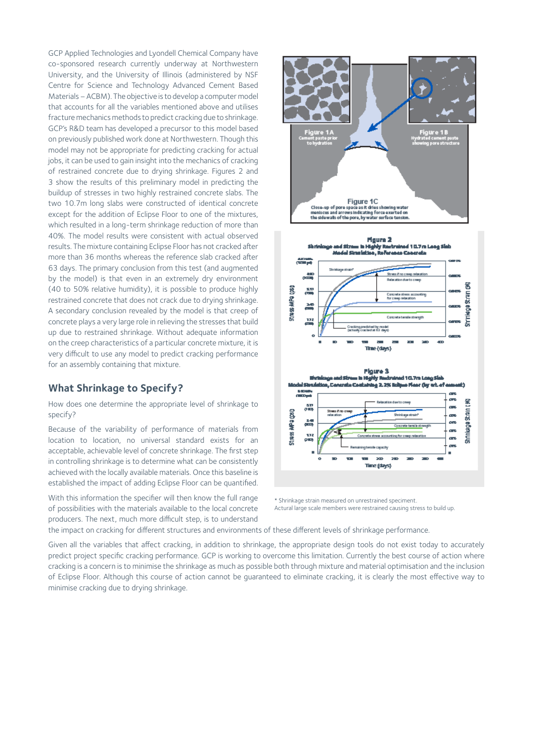GCP Applied Technologies and Lyondell Chemical Company have co-sponsored research currently underway at Northwestern University, and the University of Illinois (administered by NSF Centre for Science and Technology Advanced Cement Based Materials – ACBM). The objective is to develop a computer model that accounts for all the variables mentioned above and utilises fracture mechanics methods to predict cracking due to shrinkage. GCP's R&D team has developed a precursor to this model based on previously published work done at Northwestern. Though this model may not be appropriate for predicting cracking for actual jobs, it can be used to gain insight into the mechanics of cracking of restrained concrete due to drying shrinkage. Figures 2 and 3 show the results of this preliminary model in predicting the buildup of stresses in two highly restrained concrete slabs. The two 10.7m long slabs were constructed of identical concrete except for the addition of Eclipse Floor to one of the mixtures, which resulted in a long-term shrinkage reduction of more than 40%. The model results were consistent with actual observed results. The mixture containing Eclipse Floor has not cracked after more than 36 months whereas the reference slab cracked after 63 days. The primary conclusion from this test (and augmented by the model) is that even in an extremely dry environment (40 to 50% relative humidity), it is possible to produce highly restrained concrete that does not crack due to drying shrinkage. A secondary conclusion revealed by the model is that creep of concrete plays a very large role in relieving the stresses that build up due to restrained shrinkage. Without adequate information on the creep characteristics of a particular concrete mixture, it is very difficult to use any model to predict cracking performance for an assembly containing that mixture.

# **What Shrinkage to Specify?**

How does one determine the appropriate level of shrinkage to specify?

Because of the variability of performance of materials from location to location, no universal standard exists for an acceptable, achievable level of concrete shrinkage. The first step in controlling shrinkage is to determine what can be consistently achieved with the locally available materials. Once this baseline is established the impact of adding Eclipse Floor can be quantified.

With this information the specifier will then know the full range of possibilities with the materials available to the local concrete producers. The next, much more difficult step, is to understand



\* Shrinkage strain measured on unrestrained speciment. Actural large scale members were restrained causing stress to build up.

the impact on cracking for different structures and environments of these different levels of shrinkage performance.

Given all the variables that affect cracking, in addition to shrinkage, the appropriate design tools do not exist today to accurately predict project specific cracking performance. GCP is working to overcome this limitation. Currently the best course of action where cracking is a concern is to minimise the shrinkage as much as possible both through mixture and material optimisation and the inclusion of Eclipse Floor. Although this course of action cannot be guaranteed to eliminate cracking, it is clearly the most effective way to minimise cracking due to drying shrinkage.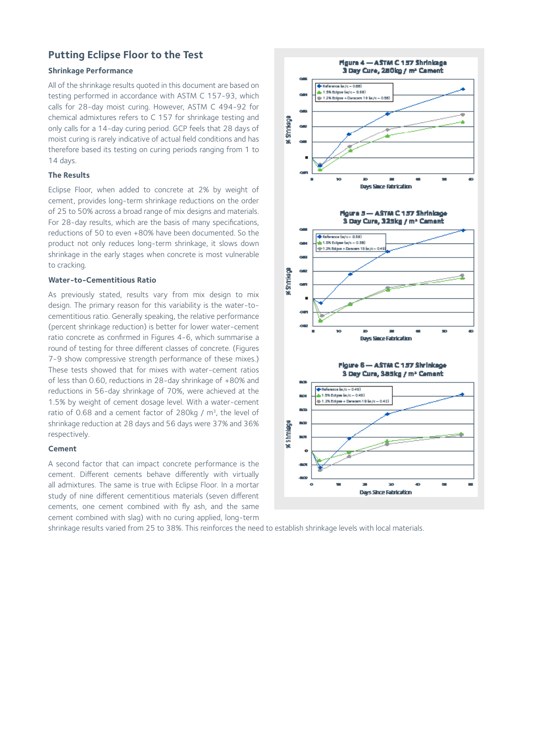# **Putting Eclipse Floor to the Test**

## **Shrinkage Performance**

All of the shrinkage results quoted in this document are based on testing performed in accordance with ASTM C 157-93, which calls for 28-day moist curing. However, ASTM C 494-92 for chemical admixtures refers to C 157 for shrinkage testing and only calls for a 14-day curing period. GCP feels that 28 days of moist curing is rarely indicative of actual field conditions and has therefore based its testing on curing periods ranging from 1 to 14 days.

#### **The Results**

Eclipse Floor, when added to concrete at 2% by weight of cement, provides long-term shrinkage reductions on the order of 25 to 50% across a broad range of mix designs and materials. For 28-day results, which are the basis of many specifications, reductions of 50 to even +80% have been documented. So the product not only reduces long-term shrinkage, it slows down shrinkage in the early stages when concrete is most vulnerable to cracking.

#### **Water-to-Cementitious Ratio**

As previously stated, results vary from mix design to mix design. The primary reason for this variability is the water-tocementitious ratio. Generally speaking, the relative performance (percent shrinkage reduction) is better for lower water-cement ratio concrete as confirmed in Figures 4-6, which summarise a round of testing for three different classes of concrete. (Figures 7-9 show compressive strength performance of these mixes.) These tests showed that for mixes with water-cement ratios of less than 0.60, reductions in 28-day shrinkage of +80% and reductions in 56-day shrinkage of 70%, were achieved at the 1.5% by weight of cement dosage level. With a water-cement ratio of 0.68 and a cement factor of 280kg / m<sup>3</sup>, the level of shrinkage reduction at 28 days and 56 days were 37% and 36% respectively.

#### **Cement**

A second factor that can impact concrete performance is the cement. Different cements behave differently with virtually all admixtures. The same is true with Eclipse Floor. In a mortar study of nine different cementitious materials (seven different cements, one cement combined with fly ash, and the same cement combined with slag) with no curing applied, long-term

**Hgure 4 - ASTM C 157 Shrinings** 3 Day Cure, 280kg / m<sup>2</sup> Cament  $+$  Reference  $\frac{1}{2}$  (x / c  $-$  0.58 .<br>1.5% Editor (w/c - 0.68)  $\sim$ = 1.2% Eclipse + Danscare 19 (w/)  $\sigma$  . **RESITIVES**  $\sim$  $\sim$  $\blacksquare$ × ö Days Since Fabricable Figure 3-ASTM C 157 Shrininge 3 Day Cura, 325kg / m<sup>2</sup> Camant Childrence (w/c - 0.58) .<br>ulu 1.5% Eclique (w/c = 0.58) -0-1.2% Edipse + Dencem 19 (w) c. **K** Shmkage ÷ Days Since Fabrication Floure 6-ASTM C157 Shrinkage 3 Day Cura, 383kg / m<sup>2</sup> Cement **C**-Reference for /c - 0.49 .<br>L1.5% Eclipse (w/c = 0.49)  $\sim$ - 1.2% Eclipse + Denson 19 (w/c max) **The State TO** as shmaegi  $\mathbf{m}_\mathrm{A}$ Ξ 30  $\mathbf{o}$ . Days Shoe Fabrication

shrinkage results varied from 25 to 38%. This reinforces the need to establish shrinkage levels with local materials.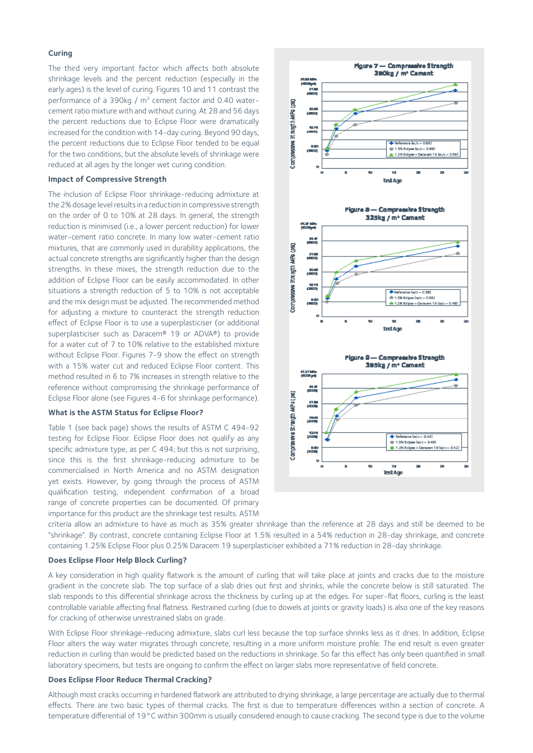## **Curing**

The third very important factor which affects both absolute shrinkage levels and the percent reduction (especially in the early ages) is the level of curing. Figures 10 and 11 contrast the performance of a 390kg / m<sup>3</sup> cement factor and 0.40 watercement ratio mixture with and without curing. At 28 and 56 days the percent reductions due to Eclipse Floor were dramatically increased for the condition with 14-day curing. Beyond 90 days, the percent reductions due to Eclipse Floor tended to be equal for the two conditions, but the absolute levels of shrinkage were reduced at all ages by the longer wet curing condition.

#### **Impact of Compressive Strength**

The inclusion of Eclipse Floor shrinkage-reducing admixture at the 2% dosage level results in a reduction in compressive strength on the order of 0 to 10% at 28 days. In general, the strength reduction is minimised (i.e., a lower percent reduction) for lower water-cement ratio concrete. In many low water-cement ratio mixtures, that are commonly used in durability applications, the actual concrete strengths are significantly higher than the design strengths. In these mixes, the strength reduction due to the addition of Eclipse Floor can be easily accommodated. In other situations a strength reduction of 5 to 10% is not acceptable and the mix design must be adjusted. The recommended method for adjusting a mixture to counteract the strength reduction effect of Eclipse Floor is to use a superplasticiser (or additional superplasticiser such as Daracem® 19 or ADVA®) to provide for a water cut of 7 to 10% relative to the established mixture without Eclipse Floor. Figures 7-9 show the effect on strength with a 15% water cut and reduced Eclipse Floor content. This method resulted in 6 to 7% increases in strength relative to the reference without compromising the shrinkage performance of Eclipse Floor alone (see Figures 4-6 for shrinkage performance).

#### **What is the ASTM Status for Eclipse Floor?**

Table 1 (see back page) shows the results of ASTM C 494-92 testing for Eclipse Floor. Eclipse Floor does not qualify as any specific admixture type, as per C 494; but this is not surprising, since this is the first shrinkage-reducing admixture to be commercialised in North America and no ASTM designation yet exists. However, by going through the process of ASTM qualification testing, independent confirmation of a broad range of concrete properties can be documented. Of primary importance for this product are the shrinkage test results. ASTM



criteria allow an admixture to have as much as 35% greater shrinkage than the reference at 28 days and still be deemed to be "shrinkage". By contrast, concrete containing Eclipse Floor at 1.5% resulted in a 54% reduction in 28-day shrinkage, and concrete containing 1.25% Eclipse Floor plus 0.25% Daracem 19 superplasticiser exhibited a 71% reduction in 28-day shrinkage.

## **Does Eclipse Floor Help Block Curling?**

A key consideration in high quality flatwork is the amount of curling that will take place at joints and cracks due to the moisture gradient in the concrete slab. The top surface of a slab dries out first and shrinks, while the concrete below is still saturated. The slab responds to this differential shrinkage across the thickness by curling up at the edges. For super-flat floors, curling is the least controllable variable affecting final flatness. Restrained curling (due to dowels at joints or gravity loads) is also one of the key reasons for cracking of otherwise unrestrained slabs on grade.

With Eclipse Floor shrinkage-reducing admixture, slabs curl less because the top surface shrinks less as it dries. In addition, Eclipse Floor alters the way water migrates through concrete, resulting in a more uniform moisture profile. The end result is even greater reduction in curling than would be predicted based on the reductions in shrinkage. So far this effect has only been quantified in small laboratory specimens, but tests are ongoing to confirm the effect on larger slabs more representative of field concrete.

## **Does Eclipse Floor Reduce Thermal Cracking?**

Although most cracks occurring in hardened flatwork are attributed to drying shrinkage, a large percentage are actually due to thermal effects. There are two basic types of thermal cracks. The first is due to temperature differences within a section of concrete. A temperature differential of 19°C within 300mm is usually considered enough to cause cracking. The second type is due to the volume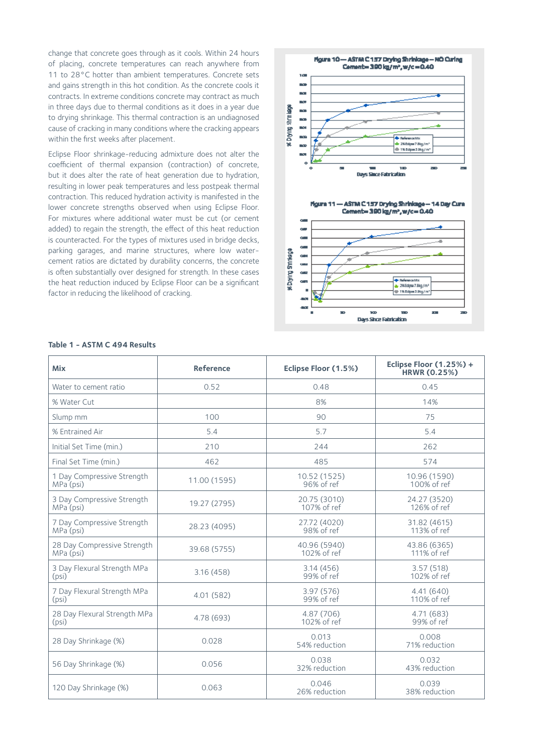change that concrete goes through as it cools. Within 24 hours of placing, concrete temperatures can reach anywhere from 11 to 28°C hotter than ambient temperatures. Concrete sets and gains strength in this hot condition. As the concrete cools it contracts. In extreme conditions concrete may contract as much in three days due to thermal conditions as it does in a year due to drying shrinkage. This thermal contraction is an undiagnosed cause of cracking in many conditions where the cracking appears within the first weeks after placement.

Eclipse Floor shrinkage-reducing admixture does not alter the coefficient of thermal expansion (contraction) of concrete, but it does alter the rate of heat generation due to hydration, resulting in lower peak temperatures and less postpeak thermal contraction. This reduced hydration activity is manifested in the lower concrete strengths observed when using Eclipse Floor. For mixtures where additional water must be cut (or cement added) to regain the strength, the effect of this heat reduction is counteracted. For the types of mixtures used in bridge decks, parking garages, and marine structures, where low watercement ratios are dictated by durability concerns, the concrete is often substantially over designed for strength. In these cases the heat reduction induced by Eclipse Floor can be a significant factor in reducing the likelihood of cracking.



| <b>Mix</b>                               | <b>Reference</b> | Eclipse Floor (1.5%)        | Eclipse Floor (1.25%) +<br><b>HRWR (0.25%)</b> |
|------------------------------------------|------------------|-----------------------------|------------------------------------------------|
| Water to cement ratio                    | 0.52             | 0.48                        | 0.45                                           |
| % Water Cut                              |                  | 8%                          | 14%                                            |
| Slump mm                                 | 100              | 90                          | 75                                             |
| % Entrained Air                          | 5.4              | 5.7                         | 5.4                                            |
| Initial Set Time (min.)                  | 210              | 244                         | 262                                            |
| Final Set Time (min.)                    | 462              | 485                         | 574                                            |
| 1 Day Compressive Strength<br>MPa (psi)  | 11.00 (1595)     | 10.52 (1525)<br>96% of ref  | 10.96 (1590)<br>100% of ref                    |
| 3 Day Compressive Strength<br>MPa (psi)  | 19.27 (2795)     | 20.75 (3010)<br>107% of ref | 24.27 (3520)<br>126% of ref                    |
| 7 Day Compressive Strength<br>MPa (psi)  | 28.23 (4095)     | 27.72 (4020)<br>98% of ref  | 31.82 (4615)<br>113% of ref                    |
| 28 Day Compressive Strength<br>MPa (psi) | 39.68 (5755)     | 40.96 (5940)<br>102% of ref | 43.86 (6365)<br>111% of ref                    |
| 3 Day Flexural Strength MPa<br>(psi)     | 3.16(458)        | 3.14(456)<br>99% of ref     | 3.57(518)<br>102% of ref                       |
| 7 Day Flexural Strength MPa<br>(psi)     | 4.01 (582)       | 3.97 (576)<br>99% of ref    | 4.41(640)<br>110% of ref                       |
| 28 Day Flexural Strength MPa<br>(psi)    | 4.78 (693)       | 4.87 (706)<br>102% of ref   | 4.71 (683)<br>99% of ref                       |
| 28 Day Shrinkage (%)                     | 0.028            | 0.013<br>54% reduction      | 0.008<br>71% reduction                         |
| 56 Day Shrinkage (%)                     | 0.056            | 0.038<br>32% reduction      | 0.032<br>43% reduction                         |
| 120 Day Shrinkage (%)                    | 0.063            | 0.046<br>26% reduction      | 0.039<br>38% reduction                         |

#### **Table 1 - ASTM C 494 Results**